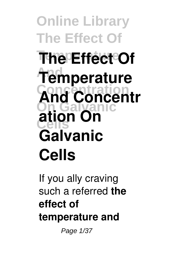**Online Library The Effect Of The Effect Of And Temperature And Concentr On Galvanic Cells ation On Galvanic Cells**

If you ally craving such a referred **the effect of temperature and**

Page 1/37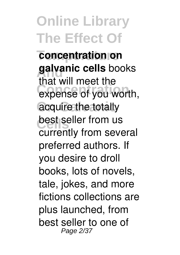**Temperature concentration on galvanic cells** books expense of you worth, acquire the totally **best seller from us** that will meet the currently from several preferred authors. If you desire to droll books, lots of novels, tale, jokes, and more fictions collections are plus launched, from best seller to one of Page 2/37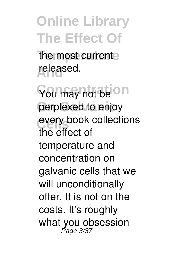the most current **And** released.

**You may not be On** perplexed to enjoy every book collections the effect of temperature and concentration on galvanic cells that we will unconditionally offer. It is not on the costs. It's roughly what you obsession<br>Page 3/37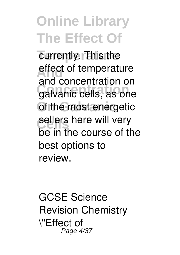currently. This the effect of temperature **Concentration** galvanic cells, as one **Of the most energetic** sellers here will very and concentration on be in the course of the best options to review.

GCSE Science Revision Chemistry \"Effect of Page 4/37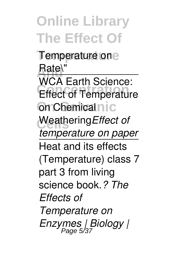**Online Library The Effect Of Temperature** Temperature on Rate\" **CONCERT CONCRETE On Chemical nic** Weathering Effect of WCA Earth Science: *temperature on paper* Heat and its effects (Temperature) class 7 part 3 from living science book.*? The Effects of Temperature on Enzymes | Biology |* Page 5/37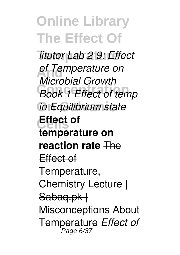*iitutor* Lab 2-9: Effect **And** *of Temperature on* **Book 1 Effect of temp On Galvanic** *in Equilibrium state* **Cells Effect of** *Microbial Growth* **temperature on reaction rate** The Effect of Temperature, Chemistry Lecture | Sabag.pk | Misconceptions About Temperature *Effect of* Page 6/37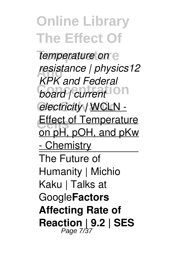**Temperature** *temperature on* **And** *resistance | physics12 board | current* **On On Galvanic** *electricity |* WCLN - Effect of Temperature *KPK and Federal* on pH, pOH, and pKw - Chemistry The Future of Humanity | Michio Kaku | Talks at Google**Factors Affecting Rate of Reaction | 9.2 | SES** Page 7/37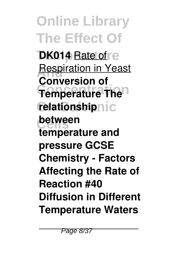**Online Library The Effect Of DK014** Rate of re **Respiration in Yeast Temperature** The<sup>n</sup> **relationshipnic between Conversion of temperature and pressure GCSE Chemistry - Factors Affecting the Rate of Reaction #40 Diffusion in Different Temperature Waters**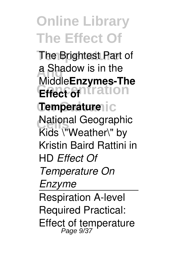**The Brightest Part of a Shadow is in the Effect of Itration Temperature** ic **National Geographic** Middle**Enzymes-The** Kids \"Weather\" by Kristin Baird Rattini in HD *Effect Of Temperature On Enzyme* Respiration A-level Required Practical: Effect of temperature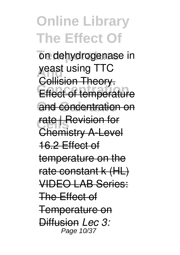on dehydrogenase in **yeast using TTC Effect of temperature** and concentration on **rate** | Revision for Collision Theory. Chemistry A-Level 16.2 Effect of temperature on the rate constant k (HL) VIDEO LAB Series: The Effect of Temperature on Diffusion *Lec 3:* Page 10/37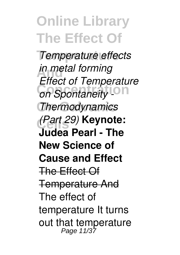**Temperature** *Temperature effects in metal forming* **Christian Concentration On Galvanic** *Thermodynamics* **Cells** *(Part 29)* **Keynote:** *Effect of Temperature* **Judea Pearl - The New Science of Cause and Effect** The Effect Of Temperature And The effect of temperature It turns out that temperature Page 11/37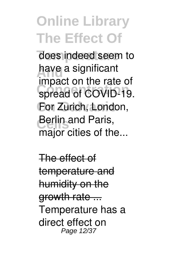does indeed seem to have a significant spread of COVID-19. For Zurich, London, **Berlin and Paris,** impact on the rate of major cities of the...

The effect of temperature and humidity on the growth rate ... Temperature has a direct effect on Page 12/37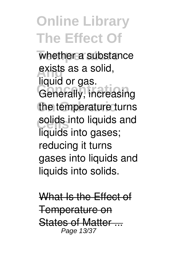whether a substance exists as a solid, **Concerts** Generally, increasing the temperature turns solids into liquids and liquid or gas. liquids into gases; reducing it turns gases into liquids and liquids into solids.

What Is the Effect of Temperature on States of Matter Page 13/37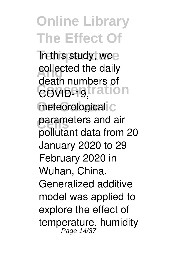**Trathis study, wee** collected the daily COVID-19, tration meteorological<sup>i</sup>c parameters and air death numbers of pollutant data from 20 January 2020 to 29 February 2020 in Wuhan, China. Generalized additive model was applied to explore the effect of temperature, humidity Page 14/37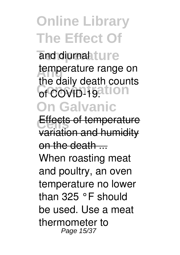and diurnal<sub>iture</sub> temperature range on of COVID-19.11ON **On Galvanic** the daily death counts

Effects of temperature variation and humidity on the death  $\ldots$ When roasting meat and poultry, an oven temperature no lower than 325 °F should be used. Use a meat thermometer to Page 15/37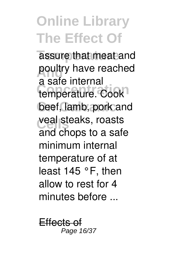assure that meat and poultry have reached temperature. Cook beef, lamb, pork and veal steaks, roasts a safe internal and chops to a safe minimum internal temperature of at least 145 °F, then allow to rest for 4 minutes before ...

Effects o Page 16/37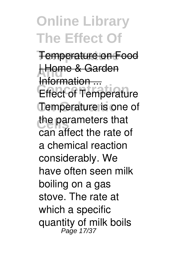**Temperature** Temperature on Food **Home & Garden Effect of Temperature** Temperature is one of the parameters that Information ... can affect the rate of a chemical reaction considerably. We have often seen milk boiling on a gas stove. The rate at which a specific quantity of milk boils Page 17/37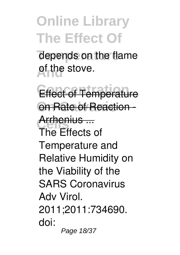depends on the flame **A<sub>nd</sub>** stove.

**Effect of Temperature On Rate of Reaction -Arrhenius ...**<br>The Fitches The Effects of Temperature and Relative Humidity on the Viability of the SARS Coronavirus Adv Virol. 2011;2011:734690. doi: Page 18/37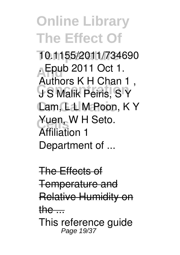**Temperature** 10.1155/2011/734690 **A** Epub 2011 Oct 1. **Concentration** J S Malik Peiris, S Y **Cam, L L M Poon, K Y** Yuen, W H Seto. Authors K H Chan 1 , Affiliation 1 Department of ...

The Effects of Temperature and Relative Humidity on the  $\ldots$ This reference guide Page 19/37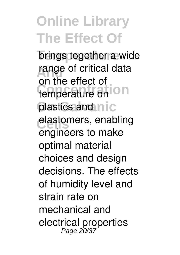**brings together a wide** range of critical data temperature on On plastics and nic elastomers, enabling on the effect of engineers to make optimal material choices and design decisions. The effects of humidity level and strain rate on mechanical and electrical properties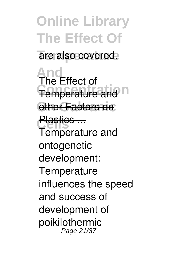**Online Library The Effect Of** are also covered. **And** The Effect of **Temperature and n other Factors on Plastics ...**<br>Tamaaret Temperature and ontogenetic development: **Temperature** influences the speed and success of development of poikilothermic Page 21/37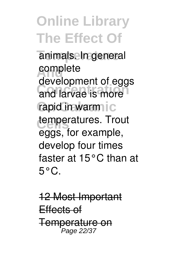animals. In general **And** complete and larvae is more rapid in warm ic temperatures. Trout development of eggs eggs, for example, develop four times faster at 15°C than at  $5^{\circ}$ C.

12 Most Important Effects of **Temperature on**<br>Page 22/37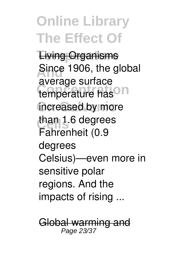**Living Organisms Since 1906, the global** temperature has<sup>O</sup>n increased by more than 1.6 degrees average surface Fahrenheit (0.9 degrees Celsius)—even more in sensitive polar regions. And the impacts of rising ...

Global warming and Page 23/37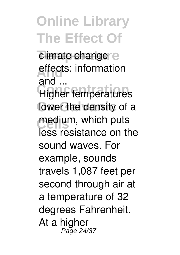**climate changer** e **effects: information**  $and -$ 

**Higher temperatures** lower the density of a medium, which puts less resistance on the sound waves. For example, sounds travels 1,087 feet per second through air at a temperature of 32 degrees Fahrenheit. At a higher Page 24/37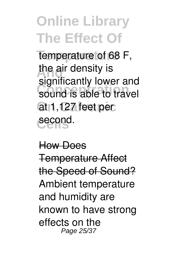**Temperature** temperature of 68 F, the air density is sound is able to travel **On Galvanic** at 1,127 feet per **Cells** second. significantly lower and

How Does Temperature Affect the Speed of Sound? Ambient temperature and humidity are known to have strong effects on the Page 25/37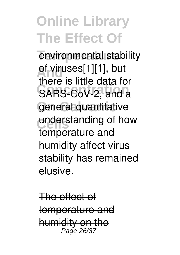environmental stability of viruses[1][1], but<br>
there is little data for SARS-CoV-2, and a general quantitative understanding of how there is little data for temperature and humidity affect virus stability has remained elusive.

The effect of temperature and humidity on the Page 26/37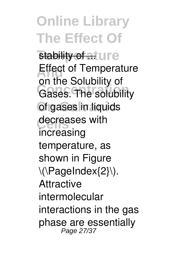**stability of at ure Effect of Temperature Concentration** of gases in liquids decreases with on the Solubility of increasing temperature, as shown in Figure \(\PageIndex{2}\). **Attractive** intermolecular interactions in the gas phase are essentially Page 27/37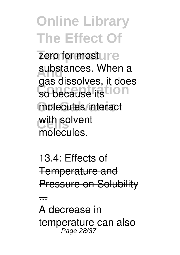zero for mosture substances. When a so because its **ION** molecules interact with solvent gas dissolves, it does molecules.

13.4: Effects of Temperature and Pressure on Solubility

...

A decrease in temperature can also Page 28/37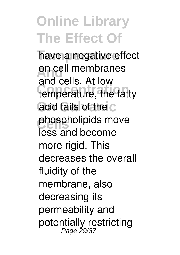have a negative effect on cell membranes temperature, the fatty acid tails of the C phospholipids move and cells. At low less and become more rigid. This decreases the overall fluidity of the membrane, also decreasing its permeability and potentially restricting Page 29/37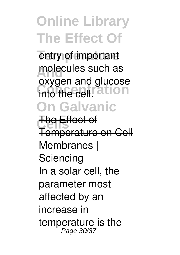entry of important molecules such as **Concentration** into the cell. **On Galvanic** oxygen and glucose

**The Effect of** Temperature on Cell Membranes | **Sciencing** In a solar cell, the parameter most affected by an increase in temperature is the Page 30/37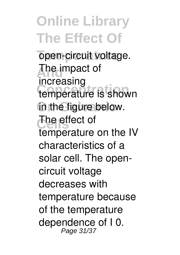open-circuit voltage. **The impact of** temperature is shown in the figure below. The effect of increasing temperature on the IV characteristics of a solar cell. The opencircuit voltage decreases with temperature because of the temperature dependence of I 0. Page 31/37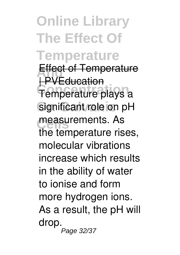**Online Library The Effect Of Temperature Effect of Temperature** Temperature plays a significant role on pH measurements. As | PVEducation the temperature rises, molecular vibrations increase which results in the ability of water to ionise and form more hydrogen ions. As a result, the pH will drop. Page 32/37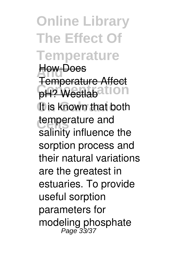**Online Library The Effect Of Temperature How Does PH? Westlabation** It is known that both temperature and<br>
collish influence Temperature Affect salinity influence the sorption process and their natural variations are the greatest in estuaries. To provide useful sorption parameters for modeling phosphate<br>Page 33/37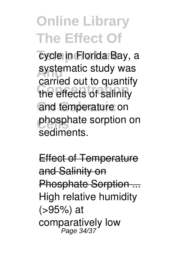cycle in Florida Bay, a systematic study was **Concentration** the effects of salinity and temperature on phosphate sorption on carried out to quantify sediments.

Effect of Temperature and Salinity on Phosphate Sorption ... High relative humidity (>95%) at comparatively low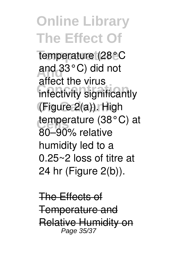**Temperature** temperature (28°C **And** and 33°C) did not **Concentration** infectivity significantly **On Galvanic** (Figure 2(a)). High temperature (38°C) at affect the virus 80–90% relative humidity led to a 0.25~2 loss of titre at 24 hr (Figure 2(b)).

The Effects of Temperature and Relative Humidity on Page 35/37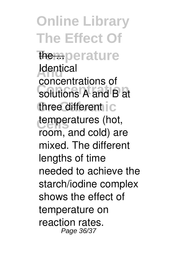**Online Library The Effect Of The mperature Adentical Concentration** solutions A and B at three different ic temperatures (hot, concentrations of room, and cold) are mixed. The different lengths of time needed to achieve the starch/iodine complex shows the effect of temperature on reaction rates. Page 36/37